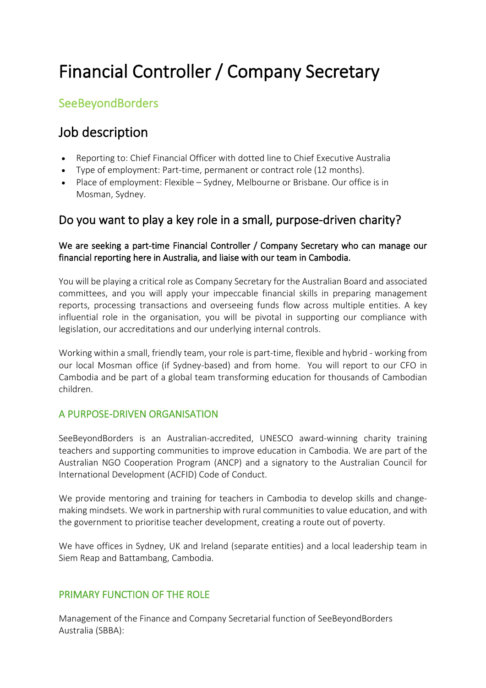# Financial Controller / Company Secretary

## **SeeBeyondBorders**

# Job description

- Reporting to: Chief Financial Officer with dotted line to Chief Executive Australia
- Type of employment: Part-time, permanent or contract role (12 months).
- Place of employment: Flexible Sydney, Melbourne or Brisbane. Our office is in Mosman, Sydney.

### Do you want to play a key role in a small, purpose-driven charity?

#### We are seeking a part-time Financial Controller / Company Secretary who can manage our financial reporting here in Australia, and liaise with our team in Cambodia.

You will be playing a critical role as Company Secretary for the Australian Board and associated committees, and you will apply your impeccable financial skills in preparing management reports, processing transactions and overseeing funds flow across multiple entities. A key influential role in the organisation, you will be pivotal in supporting our compliance with legislation, our accreditations and our underlying internal controls.

Working within a small, friendly team, your role is part-time, flexible and hybrid - working from our local Mosman office (if Sydney-based) and from home. You will report to our CFO in Cambodia and be part of a global team transforming education for thousands of Cambodian children.

#### A PURPOSE-DRIVEN ORGANISATION

SeeBeyondBorders is an Australian-accredited, UNESCO award-winning charity training teachers and supporting communities to improve education in Cambodia. We are part of the Australian NGO Cooperation Program (ANCP) and a signatory to the Australian Council for International Development (ACFID) Code of Conduct.

We provide mentoring and training for teachers in Cambodia to develop skills and changemaking mindsets. We work in partnership with rural communities to value education, and with the government to prioritise teacher development, creating a route out of poverty.

We have offices in Sydney, UK and Ireland (separate entities) and a local leadership team in Siem Reap and Battambang, Cambodia.

#### PRIMARY FUNCTION OF THE ROLE

Management of the Finance and Company Secretarial function of SeeBeyondBorders Australia (SBBA):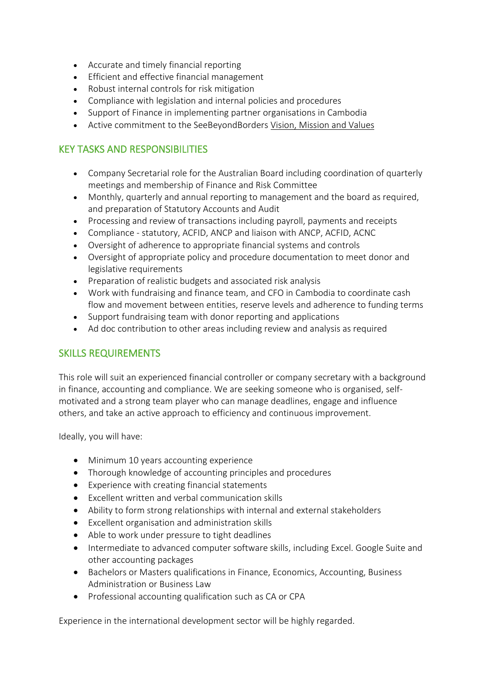- Accurate and timely financial reporting
- Efficient and effective financial management
- Robust internal controls for risk mitigation
- Compliance with legislation and internal policies and procedures
- Support of Finance in implementing partner organisations in Cambodia
- Active commitment to the SeeBeyondBorders [Vision, Mission and Values](https://www.seebeyondborders.org/vision-mission-and-values/)

#### KEY TASKS AND RESPONSIBILITIES

- Company Secretarial role for the Australian Board including coordination of quarterly meetings and membership of Finance and Risk Committee
- Monthly, quarterly and annual reporting to management and the board as required, and preparation of Statutory Accounts and Audit
- Processing and review of transactions including payroll, payments and receipts
- Compliance statutory, ACFID, ANCP and liaison with ANCP, ACFID, ACNC
- Oversight of adherence to appropriate financial systems and controls
- Oversight of appropriate policy and procedure documentation to meet donor and legislative requirements
- Preparation of realistic budgets and associated risk analysis
- Work with fundraising and finance team, and CFO in Cambodia to coordinate cash flow and movement between entities, reserve levels and adherence to funding terms
- Support fundraising team with donor reporting and applications
- Ad doc contribution to other areas including review and analysis as required

#### SKILLS REQUIREMENTS

This role will suit an experienced financial controller or company secretary with a background in finance, accounting and compliance. We are seeking someone who is organised, selfmotivated and a strong team player who can manage deadlines, engage and influence others, and take an active approach to efficiency and continuous improvement.

Ideally, you will have:

- Minimum 10 years accounting experience
- Thorough knowledge of accounting principles and procedures
- Experience with creating financial statements
- Excellent written and verbal communication skills
- Ability to form strong relationships with internal and external stakeholders
- Excellent organisation and administration skills
- Able to work under pressure to tight deadlines
- Intermediate to advanced computer software skills, including Excel. Google Suite and other accounting packages
- Bachelors or Masters qualifications in Finance, Economics, Accounting, Business Administration or Business Law
- Professional accounting qualification such as CA or CPA

Experience in the international development sector will be highly regarded.